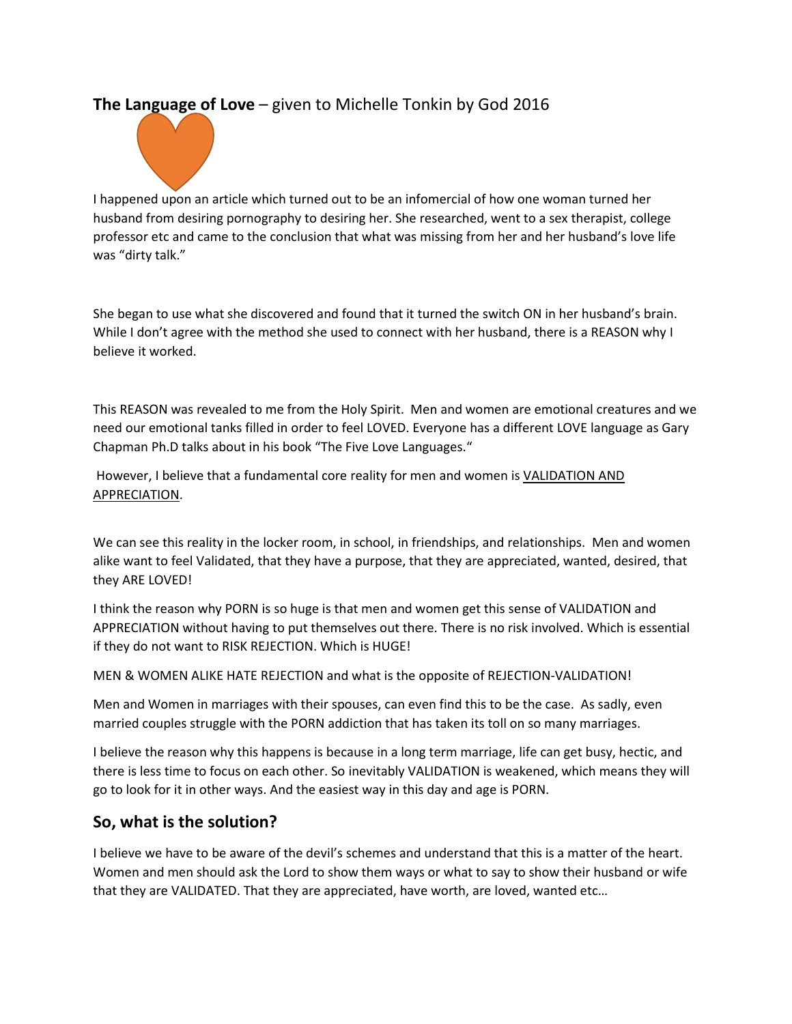## **The Language of Love** – given to Michelle Tonkin by God 2016



I happened upon an article which turned out to be an infomercial of how one woman turned her husband from desiring pornography to desiring her. She researched, went to a sex therapist, college professor etc and came to the conclusion that what was missing from her and her husband's love life was "dirty talk."

She began to use what she discovered and found that it turned the switch ON in her husband's brain. While I don't agree with the method she used to connect with her husband, there is a REASON why I believe it worked.

This REASON was revealed to me from the Holy Spirit. Men and women are emotional creatures and we need our emotional tanks filled in order to feel LOVED. Everyone has a different LOVE language as Gary Chapman Ph.D talks about in his book "The Five Love Languages."

However, I believe that a fundamental core reality for men and women is **VALIDATION AND** APPRECIATION.

We can see this reality in the locker room, in school, in friendships, and relationships. Men and women alike want to feel Validated, that they have a purpose, that they are appreciated, wanted, desired, that they ARE LOVED!

I think the reason why PORN is so huge is that men and women get this sense of VALIDATION and APPRECIATION without having to put themselves out there. There is no risk involved. Which is essential if they do not want to RISK REJECTION. Which is HUGE!

MEN & WOMEN ALIKE HATE REJECTION and what is the opposite of REJECTION-VALIDATION!

Men and Women in marriages with their spouses, can even find this to be the case. As sadly, even married couples struggle with the PORN addiction that has taken its toll on so many marriages.

I believe the reason why this happens is because in a long term marriage, life can get busy, hectic, and there is less time to focus on each other. So inevitably VALIDATION is weakened, which means they will go to look for it in other ways. And the easiest way in this day and age is PORN.

## **So, what is the solution?**

I believe we have to be aware of the devil's schemes and understand that this is a matter of the heart. Women and men should ask the Lord to show them ways or what to say to show their husband or wife that they are VALIDATED. That they are appreciated, have worth, are loved, wanted etc…